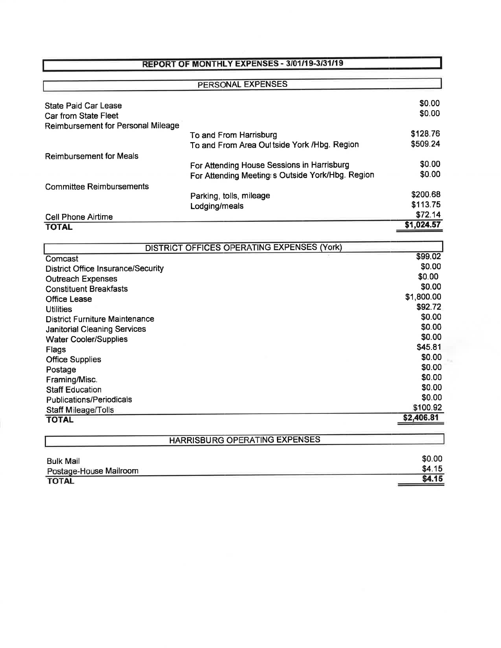## REPORT OF MONTHLY EXPENSES - 3/01/19-3/31/19

### PERSONAL EXPENSES State Paid Car Lease Car from State Fleet Reimbursement for Personal Mileage Reimbursement for Meals Committee Reimbursements To and From Harrisburg To and From Area Out tside York / Hbg. Region For Attending House Sessions in Harrisburg For Attending Meeting: s Outside York/Hbg. Region Parking, tolls, mileage Lodging/meals \$0.00 \$0.00 \$128.76 \$509.24 \$0.00 \$0.00 \$200.68 \$113.75<br>\$72.14 Cell Phone Airtime \$72.14<br>
TOTAL \$1,024.57 TOTAL SERVER TO TALK TO TALK THE SERVER TO TALK THE SERVER TO TALK THE SERVER TO TALK THE SERVER TO TALK THE SERVER THAT THE SERVER THAT THE SERVER THAT THE SERVER THAT THE SERVER THAT THE SERVER THAT THE SERVER THAT THE

| <b>DISTRICT OFFICES OPERATING EXPENSES (York)</b> |            |  |
|---------------------------------------------------|------------|--|
| Comcast                                           | \$99.02    |  |
| <b>District Office Insurance/Security</b>         | \$0.00     |  |
| <b>Outreach Expenses</b>                          | \$0.00     |  |
| <b>Constituent Breakfasts</b>                     | \$0.00     |  |
| <b>Office Lease</b>                               | \$1,800.00 |  |
| <b>Utilities</b>                                  | \$92.72    |  |
| <b>District Furniture Maintenance</b>             | \$0.00     |  |
| <b>Janitorial Cleaning Services</b>               | \$0.00     |  |
| <b>Water Cooler/Supplies</b>                      | \$0.00     |  |
| Flags                                             | \$45.81    |  |
| <b>Office Supplies</b>                            | \$0.00     |  |
| Postage                                           | \$0.00     |  |
| Framing/Misc.                                     | \$0.00     |  |
| <b>Staff Education</b>                            | \$0.00     |  |
| <b>Publications/Periodicals</b>                   | \$0.00     |  |
| <b>Staff Mileage/Tolls</b>                        | \$100.92   |  |
| <b>TOTAL</b>                                      | \$2,406.81 |  |
|                                                   |            |  |

| <b>HARRISBURG OPERATING EXPENSES</b> |        |
|--------------------------------------|--------|
| <b>Bulk Mail</b>                     | \$0.00 |
| Postage-House Mailroom               | \$4.15 |
| <b>TOTAL</b>                         | \$4.15 |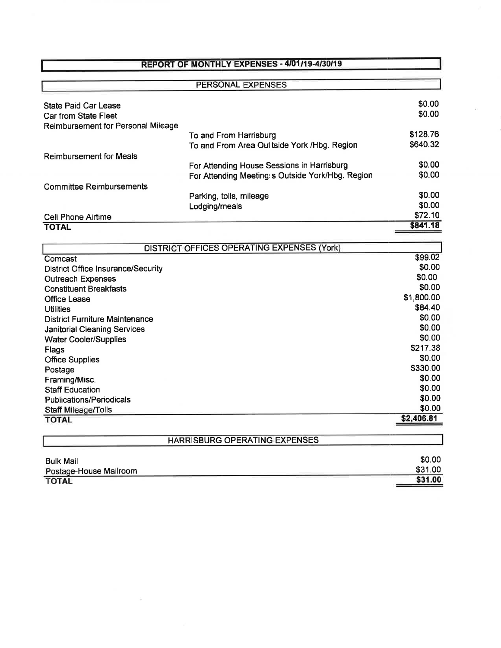## REPORT OF MONTHLY EXPENSES - 4/01/19-4/30/19

### PERSONAL EXPENSES State Paid Car Lease Car from State Fleet Reimbursement for Personal Mileage Reimbursement for Meals Committee Reimbursements To and From Harrisburg To and From Area Oultside York / Hbg. Region For Attending House Sessions in Harrisburg For Attending Meeting s Outside York/Hbg. Region Parking, tolls, mileage Lodging/meals \$0.00 \$0.00 \$128.76 \$640.32 \$0.00 \$0.00 \$0.00 \$0.00<br>\$72.10 Cell Phone Airtime \$72.10<br>
TOTAL \$841.18  $\overline{\phantom{0}}$  , total  $\overline{\phantom{0}}$  , the set of  $\overline{\phantom{0}}$  ,  $\overline{\phantom{0}}$  ,  $\overline{\phantom{0}}$  ,  $\overline{\phantom{0}}$  ,  $\overline{\phantom{0}}$  ,  $\overline{\phantom{0}}$  ,  $\overline{\phantom{0}}$  ,  $\overline{\phantom{0}}$  ,  $\overline{\phantom{0}}$  ,  $\overline{\phantom{0}}$  ,  $\overline{\phantom{0}}$  ,  $\overline{\phantom{0}}$  ,  $\overline{\phantom{$

| DISTRICT OFFICES OPERATING EXPENSES (York) |            |
|--------------------------------------------|------------|
| Comcast                                    | \$99.02    |
| <b>District Office Insurance/Security</b>  | \$0.00     |
| <b>Outreach Expenses</b>                   | \$0.00     |
| <b>Constituent Breakfasts</b>              | \$0.00     |
| <b>Office Lease</b>                        | \$1,800.00 |
| <b>Utilities</b>                           | \$84.40    |
| <b>District Furniture Maintenance</b>      | \$0.00     |
| <b>Janitorial Cleaning Services</b>        | \$0.00     |
| <b>Water Cooler/Supplies</b>               | \$0.00     |
| Flags                                      | \$217.38   |
| <b>Office Supplies</b>                     | \$0.00     |
| Postage                                    | \$330.00   |
| Framing/Misc.                              | \$0.00     |
| <b>Staff Education</b>                     | \$0.00     |
| <b>Publications/Periodicals</b>            | \$0.00     |
| Staff Mileage/Tolls                        | \$0.00     |
| <b>TOTAL</b>                               | \$2,406.81 |
|                                            |            |
| HARRISBURG OPERATING EXPENSES              |            |

| \$0.00  |
|---------|
| \$31.00 |
| \$31.00 |
|         |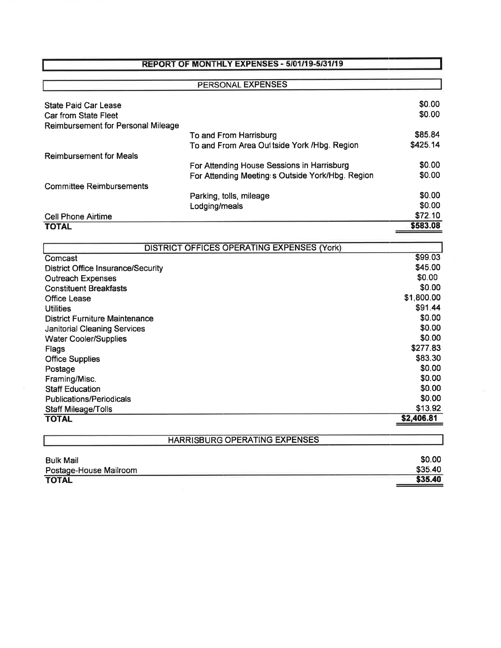### REPORT OF MONTHLY EXPENSES - 5/01/19-5/31/19

#### PERSONAL EXPENSES State Paid Car Lease Car from State Fleet Reimbursement for Personal Mileage Reimbursement for Meals Committee Reimbursements Cell Phone Airtime To and From Harrisburg To and From Area Oultside York /Hbg. Region For Attending House Sessions in Harrisburg For Attending Meeting s Outside York/Hbg. Region Parking, tolls, mileage Lodging/meals \$0.00 \$0.00 \$85.84 \$425.14 \$0.00 \$0.00  $$72.10$ <br> $$583.08$ \$0.00 \$0.00  $\overline{\phantom{0}}$  , total  $\overline{\phantom{0}}$  , total  $\overline{\phantom{0}}$  , total  $\overline{\phantom{0}}$  , total  $\overline{\phantom{0}}$  , total  $\overline{\phantom{0}}$  , total  $\overline{\phantom{0}}$  , total  $\overline{\phantom{0}}$  , and  $\overline{\phantom{0}}$  , and  $\overline{\phantom{0}}$  , and  $\overline{\phantom{0}}$  , and  $\overline{\phantom{0$

| <b>DISTRICT OFFICES OPERATING EXPENSES (York)</b> |            |
|---------------------------------------------------|------------|
| Comcast                                           | \$99.03    |
| <b>District Office Insurance/Security</b>         | \$45.00    |
| <b>Outreach Expenses</b>                          | \$0.00     |
| <b>Constituent Breakfasts</b>                     | \$0.00     |
| <b>Office Lease</b>                               | \$1,800.00 |
| <b>Utilities</b>                                  | \$91.44    |
| <b>District Furniture Maintenance</b>             | \$0.00     |
| <b>Janitorial Cleaning Services</b>               | \$0.00     |
| <b>Water Cooler/Supplies</b>                      | \$0.00     |
| Flags                                             | \$277.83   |
| <b>Office Supplies</b>                            | \$83.30    |
| Postage                                           | \$0.00     |
| Framing/Misc.                                     | \$0.00     |
| <b>Staff Education</b>                            | \$0.00     |
| <b>Publications/Periodicals</b>                   | \$0.00     |
| <b>Staff Mileage/Tolls</b>                        | \$13.92    |
| <b>TOTAL</b>                                      | \$2,406.81 |
|                                                   |            |
| HARRISBURG OPERATING EXPENSES                     |            |

| \$0.00  |
|---------|
| \$35.40 |
| \$35.40 |
|         |